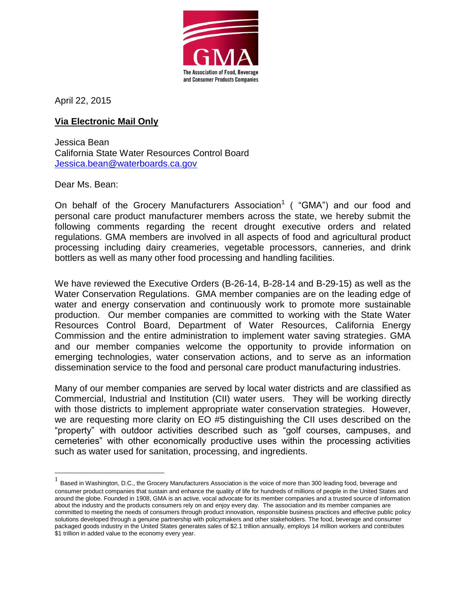

April 22, 2015

## **Via Electronic Mail Only**

Jessica Bean California State Water Resources Control Board [Jessica.bean@waterboards.ca.gov](mailto:Jessica.bean@waterboards.ca.gov)

Dear Ms. Bean:

On behalf of the Grocery Manufacturers Association<sup>1</sup> ( "GMA") and our food and personal care product manufacturer members across the state, we hereby submit the following comments regarding the recent drought executive orders and related regulations. GMA members are involved in all aspects of food and agricultural product processing including dairy creameries, vegetable processors, canneries, and drink bottlers as well as many other food processing and handling facilities.

We have reviewed the Executive Orders (B-26-14, B-28-14 and B-29-15) as well as the Water Conservation Regulations. GMA member companies are on the leading edge of water and energy conservation and continuously work to promote more sustainable production. Our member companies are committed to working with the State Water Resources Control Board, Department of Water Resources, California Energy Commission and the entire administration to implement water saving strategies. GMA and our member companies welcome the opportunity to provide information on emerging technologies, water conservation actions, and to serve as an information dissemination service to the food and personal care product manufacturing industries.

Many of our member companies are served by local water districts and are classified as Commercial, Industrial and Institution (CII) water users. They will be working directly with those districts to implement appropriate water conservation strategies. However, we are requesting more clarity on EO #5 distinguishing the CII uses described on the "property" with outdoor activities described such as "golf courses, campuses, and cemeteries" with other economically productive uses within the processing activities such as water used for sanitation, processing, and ingredients.

<sup>1&</sup>lt;br>A Based in Washington, D.C., the Grocery Manufacturers Association is the voice of more than 300 leading food, beverage and consumer product companies that sustain and enhance the quality of life for hundreds of millions of people in the United States and around the globe. Founded in 1908, GMA is an active, vocal advocate for its member companies and a trusted source of information about the industry and the products consumers rely on and enjoy every day. The association and its member companies are committed to meeting the needs of consumers through product innovation, responsible business practices and effective public policy solutions developed through a genuine partnership with policymakers and other stakeholders. The food, beverage and consumer packaged goods industry in the United States generates sales of \$2.1 trillion annually, employs 14 million workers and contributes \$1 trillion in added value to the economy every year.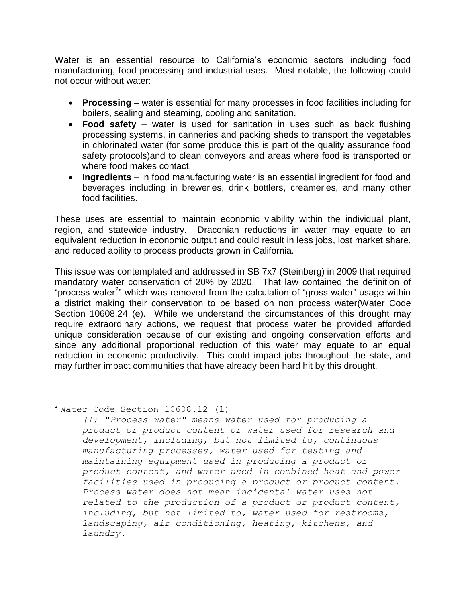Water is an essential resource to California's economic sectors including food manufacturing, food processing and industrial uses. Most notable, the following could not occur without water:

- **Processing** water is essential for many processes in food facilities including for boilers, sealing and steaming, cooling and sanitation.
- **Food safety** water is used for sanitation in uses such as back flushing processing systems, in canneries and packing sheds to transport the vegetables in chlorinated water (for some produce this is part of the quality assurance food safety protocols)and to clean conveyors and areas where food is transported or where food makes contact.
- **Ingredients** in food manufacturing water is an essential ingredient for food and beverages including in breweries, drink bottlers, creameries, and many other food facilities.

These uses are essential to maintain economic viability within the individual plant, region, and statewide industry. Draconian reductions in water may equate to an equivalent reduction in economic output and could result in less jobs, lost market share, and reduced ability to process products grown in California.

This issue was contemplated and addressed in SB 7x7 (Steinberg) in 2009 that required mandatory water conservation of 20% by 2020. That law contained the definition of "process water<sup>2</sup>" which was removed from the calculation of "gross water" usage within a district making their conservation to be based on non process water(Water Code Section 10608.24 (e). While we understand the circumstances of this drought may require extraordinary actions, we request that process water be provided afforded unique consideration because of our existing and ongoing conservation efforts and since any additional proportional reduction of this water may equate to an equal reduction in economic productivity. This could impact jobs throughout the state, and may further impact communities that have already been hard hit by this drought.

## $^2$ Water Code Section 10608.12 (1)

 $\overline{a}$ 

*<sup>(</sup>l) "Process water" means water used for producing a product or product content or water used for research and development, including, but not limited to, continuous manufacturing processes, water used for testing and maintaining equipment used in producing a product or product content, and water used in combined heat and power facilities used in producing a product or product content. Process water does not mean incidental water uses not related to the production of a product or product content, including, but not limited to, water used for restrooms, landscaping, air conditioning, heating, kitchens, and laundry.*